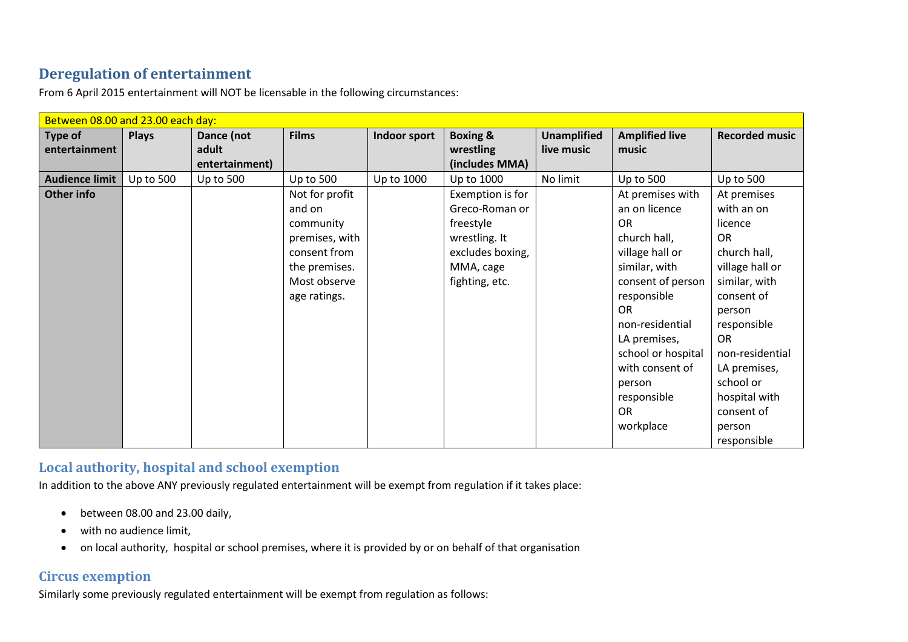## **Deregulation of entertainment**

| Between 08.00 and 23.00 each day: |                  |                  |                |              |                     |                    |                       |                       |
|-----------------------------------|------------------|------------------|----------------|--------------|---------------------|--------------------|-----------------------|-----------------------|
| Type of                           | <b>Plays</b>     | Dance (not       | <b>Films</b>   | Indoor sport | <b>Boxing &amp;</b> | <b>Unamplified</b> | <b>Amplified live</b> | <b>Recorded music</b> |
| entertainment                     |                  | adult            |                |              | wrestling           | live music         | music                 |                       |
|                                   |                  | entertainment)   |                |              | (includes MMA)      |                    |                       |                       |
| <b>Audience limit</b>             | <b>Up to 500</b> | <b>Up to 500</b> | Up to 500      | Up to 1000   | Up to 1000          | No limit           | <b>Up to 500</b>      | <b>Up to 500</b>      |
| Other info                        |                  |                  | Not for profit |              | Exemption is for    |                    | At premises with      | At premises           |
|                                   |                  |                  | and on         |              | Greco-Roman or      |                    | an on licence         | with an on            |
|                                   |                  |                  | community      |              | freestyle           |                    | <b>OR</b>             | licence               |
|                                   |                  |                  | premises, with |              | wrestling. It       |                    | church hall,          | <b>OR</b>             |
|                                   |                  |                  | consent from   |              | excludes boxing,    |                    | village hall or       | church hall,          |
|                                   |                  |                  | the premises.  |              | MMA, cage           |                    | similar, with         | village hall or       |
|                                   |                  |                  | Most observe   |              | fighting, etc.      |                    | consent of person     | similar, with         |
|                                   |                  |                  | age ratings.   |              |                     |                    | responsible           | consent of            |
|                                   |                  |                  |                |              |                     |                    | <b>OR</b>             | person                |
|                                   |                  |                  |                |              |                     |                    | non-residential       | responsible           |
|                                   |                  |                  |                |              |                     |                    | LA premises,          | <b>OR</b>             |
|                                   |                  |                  |                |              |                     |                    | school or hospital    | non-residential       |
|                                   |                  |                  |                |              |                     |                    | with consent of       | LA premises,          |
|                                   |                  |                  |                |              |                     |                    | person                | school or             |
|                                   |                  |                  |                |              |                     |                    | responsible           | hospital with         |
|                                   |                  |                  |                |              |                     |                    | <b>OR</b>             | consent of            |
|                                   |                  |                  |                |              |                     |                    | workplace             | person                |
|                                   |                  |                  |                |              |                     |                    |                       | responsible           |

From 6 April 2015 entertainment will NOT be licensable in the following circumstances:

## **Local authority, hospital and school exemption**

In addition to the above ANY previously regulated entertainment will be exempt from regulation if it takes place:

- between 08.00 and 23.00 daily,
- with no audience limit,
- on local authority, hospital or school premises, where it is provided by or on behalf of that organisation

## **Circus exemption**

Similarly some previously regulated entertainment will be exempt from regulation as follows: